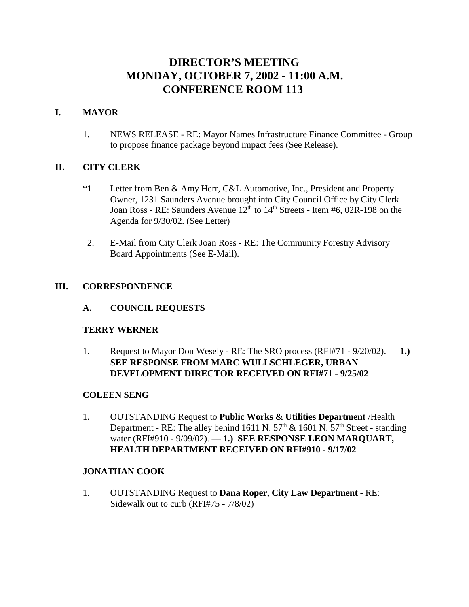# **DIRECTOR'S MEETING MONDAY, OCTOBER 7, 2002 - 11:00 A.M. CONFERENCE ROOM 113**

# **I. MAYOR**

1. NEWS RELEASE - RE: Mayor Names Infrastructure Finance Committee - Group to propose finance package beyond impact fees (See Release).

## **II. CITY CLERK**

- \*1. Letter from Ben & Amy Herr, C&L Automotive, Inc., President and Property Owner, 1231 Saunders Avenue brought into City Council Office by City Clerk Joan Ross - RE: Saunders Avenue 12<sup>th</sup> to 14<sup>th</sup> Streets - Item #6, 02R-198 on the Agenda for 9/30/02. (See Letter)
- 2. E-Mail from City Clerk Joan Ross RE: The Community Forestry Advisory Board Appointments (See E-Mail).

#### **III. CORRESPONDENCE**

**A. COUNCIL REQUESTS**

#### **TERRY WERNER**

1. Request to Mayor Don Wesely - RE: The SRO process (RFI#71 - 9/20/02). — **1.) SEE RESPONSE FROM MARC WULLSCHLEGER, URBAN DEVELOPMENT DIRECTOR RECEIVED ON RFI#71 - 9/25/02** 

#### **COLEEN SENG**

1. OUTSTANDING Request to **Public Works & Utilities Department** /Health Department - RE: The alley behind 1611 N.  $57<sup>th</sup>$  & 1601 N.  $57<sup>th</sup>$  Street - standing water (RFI#910 - 9/09/02). — **1.) SEE RESPONSE LEON MARQUART, HEALTH DEPARTMENT RECEIVED ON RFI#910 - 9/17/02**

#### **JONATHAN COOK**

1. OUTSTANDING Request to **Dana Roper, City Law Department** - RE: Sidewalk out to curb (RFI#75 - 7/8/02)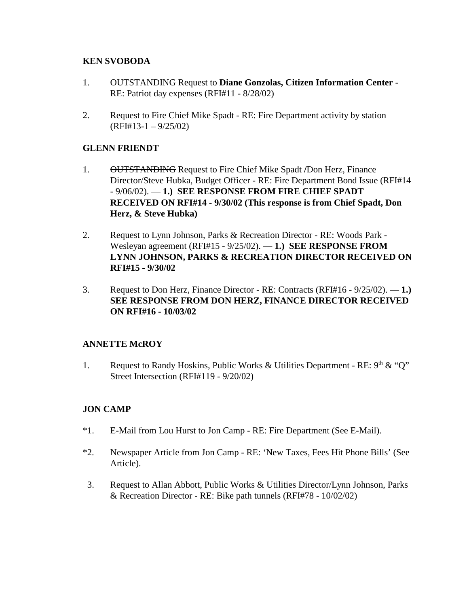## **KEN SVOBODA**

- 1. OUTSTANDING Request to **Diane Gonzolas, Citizen Information Center** RE: Patriot day expenses (RFI#11 - 8/28/02)
- 2. Request to Fire Chief Mike Spadt RE: Fire Department activity by station (RFI#13-1 – 9/25/02)

# **GLENN FRIENDT**

- 1. OUTSTANDING Request to Fire Chief Mike Spadt **/**Don Herz, Finance Director/Steve Hubka, Budget Officer - RE: Fire Department Bond Issue (RFI#14 - 9/06/02). — **1.) SEE RESPONSE FROM FIRE CHIEF SPADT RECEIVED ON RFI#14 - 9/30/02 (This response is from Chief Spadt, Don Herz, & Steve Hubka)**
- 2. Request to Lynn Johnson, Parks & Recreation Director RE: Woods Park Wesleyan agreement (RFI#15 - 9/25/02). — **1.) SEE RESPONSE FROM LYNN JOHNSON, PARKS & RECREATION DIRECTOR RECEIVED ON RFI#15 - 9/30/02**
- 3. Request to Don Herz, Finance Director RE: Contracts (RFI#16 9/25/02). **1.) SEE RESPONSE FROM DON HERZ, FINANCE DIRECTOR RECEIVED ON RFI#16 - 10/03/02**

## **ANNETTE McROY**

1. Request to Randy Hoskins, Public Works & Utilities Department - RE:  $9<sup>th</sup>$  & "O" Street Intersection (RFI#119 - 9/20/02)

# **JON CAMP**

- \*1. E-Mail from Lou Hurst to Jon Camp RE: Fire Department (See E-Mail).
- \*2. Newspaper Article from Jon Camp RE: 'New Taxes, Fees Hit Phone Bills' (See Article).
- 3. Request to Allan Abbott, Public Works & Utilities Director/Lynn Johnson, Parks & Recreation Director - RE: Bike path tunnels (RFI#78 - 10/02/02)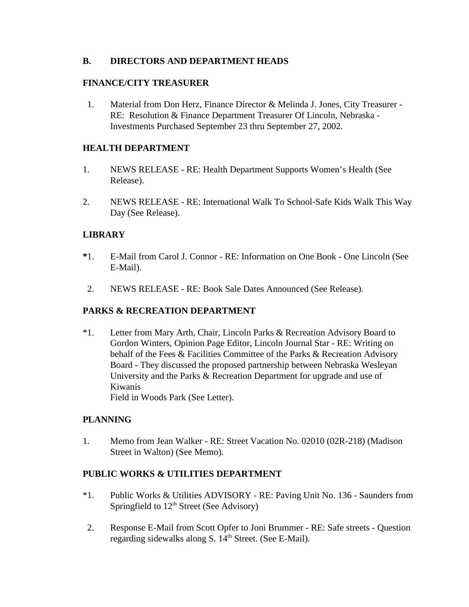## **B. DIRECTORS AND DEPARTMENT HEADS**

## **FINANCE/CITY TREASURER**

 1. Material from Don Herz, Finance Director & Melinda J. Jones, City Treasurer - RE: Resolution & Finance Department Treasurer Of Lincoln, Nebraska - Investments Purchased September 23 thru September 27, 2002.

# **HEALTH DEPARTMENT**

- 1. NEWS RELEASE RE: Health Department Supports Women's Health (See Release).
- 2. NEWS RELEASE RE: International Walk To School-Safe Kids Walk This Way Day (See Release).

# **LIBRARY**

- **\***1. E-Mail from Carol J. Connor RE: Information on One Book One Lincoln (See E-Mail).
- 2. NEWS RELEASE RE: Book Sale Dates Announced (See Release).

## **PARKS & RECREATION DEPARTMENT**

\*1. Letter from Mary Arth, Chair, Lincoln Parks & Recreation Advisory Board to Gordon Winters, Opinion Page Editor, Lincoln Journal Star - RE: Writing on behalf of the Fees & Facilities Committee of the Parks & Recreation Advisory Board - They discussed the proposed partnership between Nebraska Wesleyan University and the Parks & Recreation Department for upgrade and use of Kiwanis

Field in Woods Park (See Letter).

## **PLANNING**

1. Memo from Jean Walker - RE: Street Vacation No. 02010 (02R-218) (Madison Street in Walton) (See Memo).

## **PUBLIC WORKS & UTILITIES DEPARTMENT**

- \*1. Public Works & Utilities ADVISORY RE: Paving Unit No. 136 Saunders from Springfield to  $12<sup>th</sup>$  Street (See Advisory)
- 2. Response E-Mail from Scott Opfer to Joni Brummer RE: Safe streets Question regarding sidewalks along S.  $14<sup>th</sup>$  Street. (See E-Mail).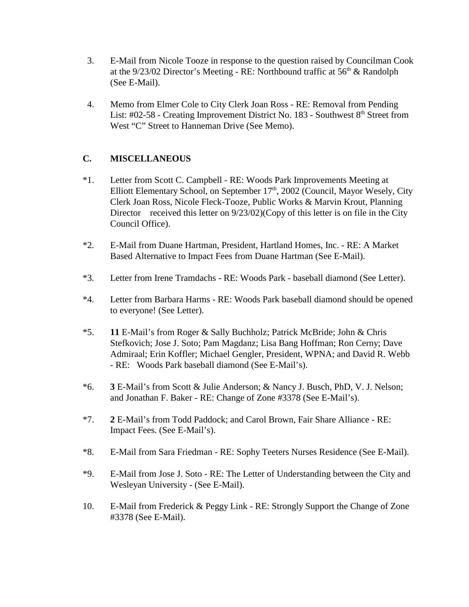- 3. E-Mail from Nicole Tooze in response to the question raised by Councilman Cook at the  $9/23/02$  Director's Meeting - RE: Northbound traffic at  $56<sup>th</sup>$  & Randolph (See E-Mail).
- 4. Memo from Elmer Cole to City Clerk Joan Ross RE: Removal from Pending List: #02-58 - Creating Improvement District No. 183 - Southwest  $8<sup>th</sup>$  Street from West "C" Street to Hanneman Drive (See Memo).

# **C. MISCELLANEOUS**

- \*1. Letter from Scott C. Campbell RE: Woods Park Improvements Meeting at Elliott Elementary School, on September  $17<sup>th</sup>$ , 2002 (Council, Mayor Wesely, City Clerk Joan Ross, Nicole Fleck-Tooze, Public Works & Marvin Krout, Planning Director received this letter on  $9/23/02$ )(Copy of this letter is on file in the City Council Office).
- \*2. E-Mail from Duane Hartman, President, Hartland Homes, Inc. RE: A Market Based Alternative to Impact Fees from Duane Hartman (See E-Mail).
- \*3. Letter from Irene Tramdachs RE: Woods Park baseball diamond (See Letter).
- \*4. Letter from Barbara Harms RE: Woods Park baseball diamond should be opened to everyone! (See Letter).
- \*5. **11** E-Mail's from Roger & Sally Buchholz; Patrick McBride; John & Chris Stefkovich; Jose J. Soto; Pam Magdanz; Lisa Bang Hoffman; Ron Cerny; Dave Admiraal; Erin Koffler; Michael Gengler, President, WPNA; and David R. Webb - RE: Woods Park baseball diamond (See E-Mail's).
- \*6. **3** E-Mail's from Scott & Julie Anderson; & Nancy J. Busch, PhD, V. J. Nelson; and Jonathan F. Baker - RE: Change of Zone #3378 (See E-Mail's).
- \*7. **2** E-Mail's from Todd Paddock; and Carol Brown, Fair Share Alliance RE: Impact Fees. (See E-Mail's).
- \*8. E-Mail from Sara Friedman RE: Sophy Teeters Nurses Residence (See E-Mail).
- \*9. E-Mail from Jose J. Soto RE: The Letter of Understanding between the City and Wesleyan University - (See E-Mail).
- 10. E-Mail from Frederick & Peggy Link RE: Strongly Support the Change of Zone #3378 (See E-Mail).